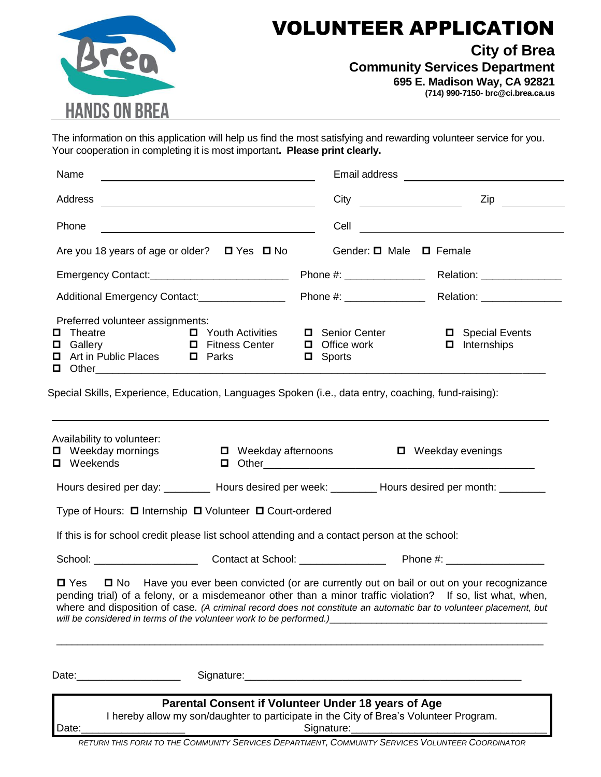

## VOLUNTEER APPLICATION

**City of Brea**

**Community Services Department**

**695 E. Madison Way, CA 92821**

**(714) 990-7150- brc@ci.brea.ca.us**

The information on this application will help us find the most satisfying and rewarding volunteer service for you. Your cooperation in completing it is most important**. Please print clearly.**

| Name                                                                               |                                                                                                                       |                                                                                                                                               |                                                                                                                                                                                                                                                                                                                                       |  |
|------------------------------------------------------------------------------------|-----------------------------------------------------------------------------------------------------------------------|-----------------------------------------------------------------------------------------------------------------------------------------------|---------------------------------------------------------------------------------------------------------------------------------------------------------------------------------------------------------------------------------------------------------------------------------------------------------------------------------------|--|
| Address                                                                            |                                                                                                                       | City                                                                                                                                          | $\mathsf{Zip}$                                                                                                                                                                                                                                                                                                                        |  |
| Phone                                                                              | <u> 1980 - Johann Barn, mars ann an t-Amhain Aonaichte ann an t-Amhain Aonaichte ann an t-Amhain Aonaichte ann an</u> |                                                                                                                                               |                                                                                                                                                                                                                                                                                                                                       |  |
|                                                                                    | Are you 18 years of age or older? $\Box$ Yes $\Box$ No                                                                | Gender: □ Male □ Female                                                                                                                       |                                                                                                                                                                                                                                                                                                                                       |  |
|                                                                                    |                                                                                                                       |                                                                                                                                               |                                                                                                                                                                                                                                                                                                                                       |  |
| Additional Emergency Contact:________________                                      |                                                                                                                       |                                                                                                                                               |                                                                                                                                                                                                                                                                                                                                       |  |
| Preferred volunteer assignments:<br>Theatre<br>0<br>□ Art in Public Places □ Parks | <b>Example 2</b> Youth Activities<br><b>D</b> Gallery <b>D</b> Fitness Center                                         | Senior Center<br>$\Box$ Office work<br>$\Box$ Sports                                                                                          | <b>D</b> Special Events<br>$\Box$ Internships<br><b>D</b> Other 2008 01:00 00:00 00:00 00:00 00:00 00:00 00:00 00:00 00:00 00:00 00:00 00:00 00:00 00:00 00:00 00:00 00:00 00:00 00:00 00:00 00:00 00:00 00:00 00:00 00:00 00:00 00:00 00:00 00:00 00:00 00:00 00:00 00:00 00:00 00:                                                  |  |
|                                                                                    |                                                                                                                       | Special Skills, Experience, Education, Languages Spoken (i.e., data entry, coaching, fund-raising):                                           |                                                                                                                                                                                                                                                                                                                                       |  |
| Availability to volunteer:<br>$\Box$ Weekday mornings<br>$\blacksquare$ Weekends   | $\Box$ Weekday afternoons                                                                                             |                                                                                                                                               | □ Weekday evenings                                                                                                                                                                                                                                                                                                                    |  |
|                                                                                    |                                                                                                                       |                                                                                                                                               | Hours desired per day: _________ Hours desired per week: ________ Hours desired per month: ________                                                                                                                                                                                                                                   |  |
|                                                                                    | Type of Hours: □ Internship □ Volunteer □ Court-ordered                                                               |                                                                                                                                               |                                                                                                                                                                                                                                                                                                                                       |  |
|                                                                                    |                                                                                                                       | If this is for school credit please list school attending and a contact person at the school:                                                 |                                                                                                                                                                                                                                                                                                                                       |  |
|                                                                                    |                                                                                                                       |                                                                                                                                               |                                                                                                                                                                                                                                                                                                                                       |  |
|                                                                                    |                                                                                                                       | will be considered in terms of the volunteer work to be performed.)_________________________________                                          | □ Yes □ No Have you ever been convicted (or are currently out on bail or out on your recognizance<br>pending trial) of a felony, or a misdemeanor other than a minor traffic violation? If so, list what, when,<br>where and disposition of case. (A criminal record does not constitute an automatic bar to volunteer placement, but |  |
|                                                                                    |                                                                                                                       |                                                                                                                                               |                                                                                                                                                                                                                                                                                                                                       |  |
|                                                                                    |                                                                                                                       | Parental Consent if Volunteer Under 18 years of Age<br>I hereby allow my son/daughter to participate in the City of Brea's Volunteer Program. |                                                                                                                                                                                                                                                                                                                                       |  |

Date:\_\_\_\_\_\_\_\_\_\_\_\_\_\_\_\_\_\_ Signature:\_\_\_\_\_\_\_\_\_\_\_\_\_\_\_\_\_\_\_\_\_\_\_\_\_\_\_\_\_\_\_\_\_\_

*RETURN THIS FORM TO THE COMMUNITY SERVICES DEPARTMENT, COMMUNITY SERVICES VOLUNTEER COORDINATOR*